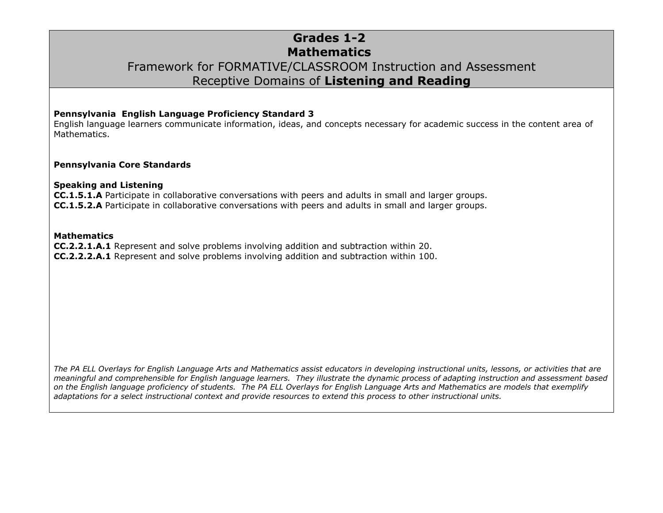## **Grades 1-2 Mathematics** Framework for FORMATIVE/CLASSROOM Instruction and Assessment Receptive Domains of **Listening and Reading**

#### **Pennsylvania English Language Proficiency Standard 3**

English language learners communicate information, ideas, and concepts necessary for academic success in the content area of Mathematics.

#### **Pennsylvania Core Standards**

#### **Speaking and Listening**

**CC.1.5.1.A** Participate in collaborative conversations with peers and adults in small and larger groups. **CC.1.5.2.A** Participate in collaborative conversations with peers and adults in small and larger groups.

#### **Mathematics**

**CC.2.2.1.A.1** Represent and solve problems involving addition and subtraction within 20. **CC.2.2.2.A.1** Represent and solve problems involving addition and subtraction within 100.

*The PA ELL Overlays for English Language Arts and Mathematics assist educators in developing instructional units, lessons, or activities that are meaningful and comprehensible for English language learners. They illustrate the dynamic process of adapting instruction and assessment based on the English language proficiency of students. The PA ELL Overlays for English Language Arts and Mathematics are models that exemplify adaptations for a select instructional context and provide resources to extend this process to other instructional units.*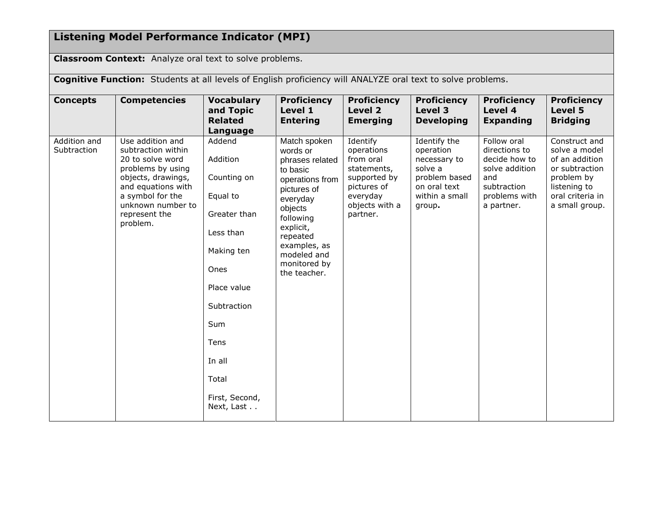# **Listening Model Performance Indicator (MPI)**

**Classroom Context:** Analyze oral text to solve problems.

**Cognitive Function:** Students at all levels of English proficiency will ANALYZE oral text to solve problems.

| <b>Concepts</b>             | <b>Competencies</b>                                                                                                                                                                               | <b>Vocabulary</b><br>and Topic<br><b>Related</b><br>Language                                                                                                                                            | <b>Proficiency</b><br>Level 1<br><b>Entering</b>                                                                                                                                                                      | <b>Proficiency</b><br>Level 2<br><b>Emerging</b>                                                                            | <b>Proficiency</b><br>Level 3<br><b>Developing</b>                                                                | <b>Proficiency</b><br>Level 4<br><b>Expanding</b>                                                                    | <b>Proficiency</b><br>Level 5<br><b>Bridging</b>                                                                                       |
|-----------------------------|---------------------------------------------------------------------------------------------------------------------------------------------------------------------------------------------------|---------------------------------------------------------------------------------------------------------------------------------------------------------------------------------------------------------|-----------------------------------------------------------------------------------------------------------------------------------------------------------------------------------------------------------------------|-----------------------------------------------------------------------------------------------------------------------------|-------------------------------------------------------------------------------------------------------------------|----------------------------------------------------------------------------------------------------------------------|----------------------------------------------------------------------------------------------------------------------------------------|
| Addition and<br>Subtraction | Use addition and<br>subtraction within<br>20 to solve word<br>problems by using<br>objects, drawings,<br>and equations with<br>a symbol for the<br>unknown number to<br>represent the<br>problem. | Addend<br>Addition<br>Counting on<br>Equal to<br>Greater than<br>Less than<br>Making ten<br>Ones<br>Place value<br>Subtraction<br>Sum<br><b>Tens</b><br>In all<br>Total<br>First, Second,<br>Next, Last | Match spoken<br>words or<br>phrases related<br>to basic<br>operations from<br>pictures of<br>everyday<br>objects<br>following<br>explicit,<br>repeated<br>examples, as<br>modeled and<br>monitored by<br>the teacher. | Identify<br>operations<br>from oral<br>statements,<br>supported by<br>pictures of<br>everyday<br>objects with a<br>partner. | Identify the<br>operation<br>necessary to<br>solve a<br>problem based<br>on oral text<br>within a small<br>group. | Follow oral<br>directions to<br>decide how to<br>solve addition<br>and<br>subtraction<br>problems with<br>a partner. | Construct and<br>solve a model<br>of an addition<br>or subtraction<br>problem by<br>listening to<br>oral criteria in<br>a small group. |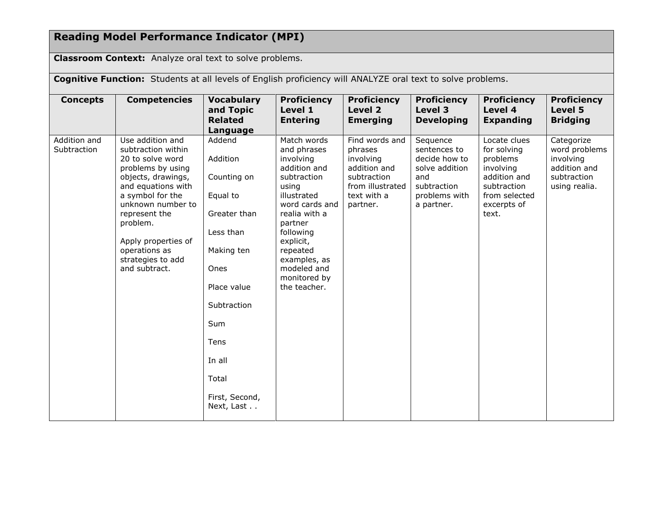### **Reading Model Performance Indicator (MPI)**

**Classroom Context:** Analyze oral text to solve problems.

**Cognitive Function:** Students at all levels of English proficiency will ANALYZE oral text to solve problems. **Concepts Competencies Vocabulary and Topic Related Language Proficiency Level 1 Entering Proficiency Level 2 Emerging Proficiency Level 3 Developing Proficiency Level 4 Expanding Proficiency Level 5 Bridging**  Addition and **Subtraction** Use addition and subtraction within 20 to solve word problems by using objects, drawings, and equations with a symbol for the unknown number to represent the problem. Apply properties of operations as strategies to add and subtract. Addend Addition Counting on Equal to Greater than Less than Making ten Ones Place value **Subtraction** Sum Tens In all Total First, Second, Next, Last . . Match words and phrases involving addition and subtraction using illustrated word cards and realia with a partner following explicit, repeated examples, as modeled and monitored by the teacher. Find words and phrases involving addition and subtraction from illustrated text with a partner. Sequence sentences to decide how to solve addition and subtraction problems with a partner. Locate clues for solving problems involving addition and subtraction from selected excerpts of text. **Categorize** word problems involving addition and subtraction using realia.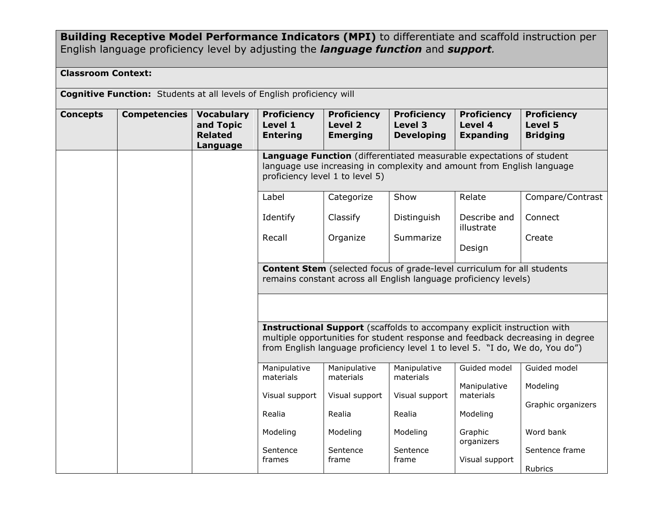## **Building Receptive Model Performance Indicators (MPI)** to differentiate and scaffold instruction per English language proficiency level by adjusting the *language function* and *support.*

### **Classroom Context:**

|                 | <b>Cognitive Function:</b> Students at all levels of English proficiency will |                                                              |                                                                                                                                                                                                                                                 |                                                                                                                                                    |                                                    |                                                   |                                                  |  |
|-----------------|-------------------------------------------------------------------------------|--------------------------------------------------------------|-------------------------------------------------------------------------------------------------------------------------------------------------------------------------------------------------------------------------------------------------|----------------------------------------------------------------------------------------------------------------------------------------------------|----------------------------------------------------|---------------------------------------------------|--------------------------------------------------|--|
| <b>Concepts</b> | <b>Competencies</b>                                                           | <b>Vocabulary</b><br>and Topic<br><b>Related</b><br>Language | <b>Proficiency</b><br>Level 1<br><b>Entering</b>                                                                                                                                                                                                | <b>Proficiency</b><br>Level 2<br><b>Emerging</b>                                                                                                   | <b>Proficiency</b><br>Level 3<br><b>Developing</b> | <b>Proficiency</b><br>Level 4<br><b>Expanding</b> | <b>Proficiency</b><br>Level 5<br><b>Bridging</b> |  |
|                 |                                                                               |                                                              | Language Function (differentiated measurable expectations of student<br>language use increasing in complexity and amount from English language<br>proficiency level 1 to level 5)                                                               |                                                                                                                                                    |                                                    |                                                   |                                                  |  |
|                 |                                                                               |                                                              | Label                                                                                                                                                                                                                                           | Categorize                                                                                                                                         | Show                                               | Relate                                            | Compare/Contrast                                 |  |
|                 |                                                                               |                                                              | Identify                                                                                                                                                                                                                                        | Classify                                                                                                                                           | Distinguish                                        | Describe and<br>illustrate                        | Connect                                          |  |
|                 |                                                                               |                                                              | Recall                                                                                                                                                                                                                                          | Organize                                                                                                                                           | Summarize                                          | Design                                            | Create                                           |  |
|                 |                                                                               |                                                              |                                                                                                                                                                                                                                                 | <b>Content Stem</b> (selected focus of grade-level curriculum for all students<br>remains constant across all English language proficiency levels) |                                                    |                                                   |                                                  |  |
|                 |                                                                               |                                                              |                                                                                                                                                                                                                                                 |                                                                                                                                                    |                                                    |                                                   |                                                  |  |
|                 |                                                                               |                                                              | <b>Instructional Support</b> (scaffolds to accompany explicit instruction with<br>multiple opportunities for student response and feedback decreasing in degree<br>from English language proficiency level 1 to level 5. "I do, We do, You do") |                                                                                                                                                    |                                                    |                                                   |                                                  |  |
|                 |                                                                               |                                                              | Manipulative<br>materials                                                                                                                                                                                                                       | Manipulative<br>materials                                                                                                                          | Manipulative<br>materials                          | Guided model                                      | Guided model                                     |  |
|                 |                                                                               |                                                              | Visual support                                                                                                                                                                                                                                  | Visual support                                                                                                                                     | Visual support                                     | Manipulative<br>materials                         | Modeling                                         |  |
|                 |                                                                               |                                                              | Realia                                                                                                                                                                                                                                          | Realia                                                                                                                                             | Realia                                             | Modeling                                          | Graphic organizers                               |  |
|                 |                                                                               |                                                              | Modeling                                                                                                                                                                                                                                        | Modeling                                                                                                                                           | Modeling                                           | Graphic<br>organizers                             | Word bank                                        |  |
|                 |                                                                               |                                                              | Sentence<br>frames                                                                                                                                                                                                                              | Sentence<br>frame                                                                                                                                  | Sentence<br>frame                                  | Visual support                                    | Sentence frame                                   |  |
|                 |                                                                               |                                                              |                                                                                                                                                                                                                                                 |                                                                                                                                                    |                                                    |                                                   | Rubrics                                          |  |